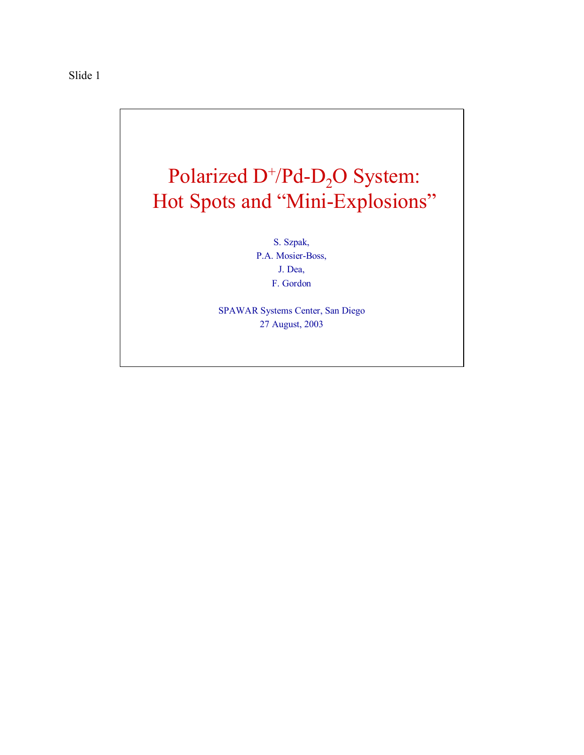

S. Szpak, P.A. Mosier-Boss, J. Dea, F. Gordon

SPAWAR Systems Center, San Diego 27 August, 2003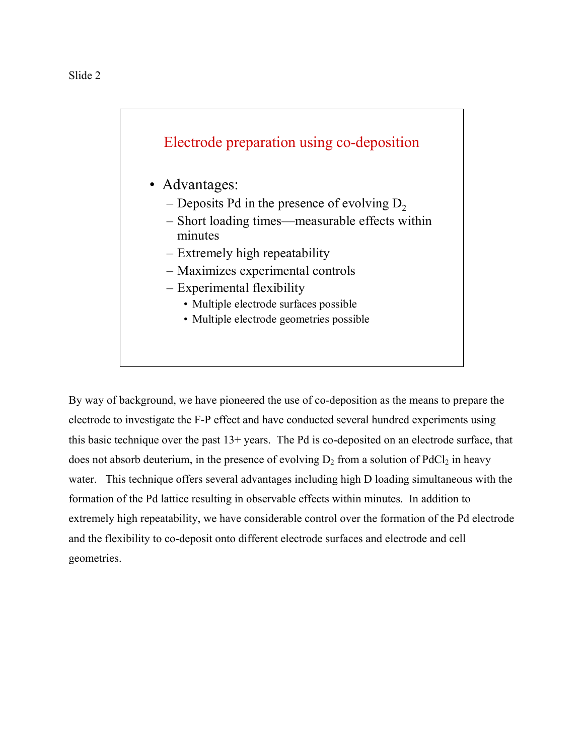

- Advantages:
	- Deposits Pd in the presence of evolving  $D<sub>2</sub>$
	- Short loading times—measurable effects within minutes
	- Extremely high repeatability
	- Maximizes experimental controls
	- Experimental flexibility
		- Multiple electrode surfaces possible
		- Multiple electrode geometries possible

By way of background, we have pioneered the use of co-deposition as the means to prepare the electrode to investigate the F-P effect and have conducted several hundred experiments using this basic technique over the past 13+ years. The Pd is co-deposited on an electrode surface, that does not absorb deuterium, in the presence of evolving  $D_2$  from a solution of PdCl<sub>2</sub> in heavy water. This technique offers several advantages including high D loading simultaneous with the formation of the Pd lattice resulting in observable effects within minutes. In addition to extremely high repeatability, we have considerable control over the formation of the Pd electrode and the flexibility to co-deposit onto different electrode surfaces and electrode and cell geometries.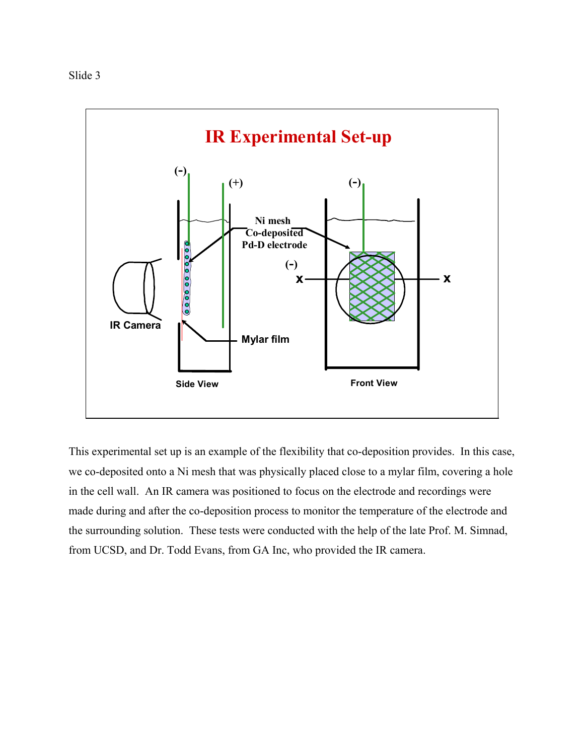

This experimental set up is an example of the flexibility that co-deposition provides. In this case, we co-deposited onto a Ni mesh that was physically placed close to a mylar film, covering a hole in the cell wall. An IR camera was positioned to focus on the electrode and recordings were made during and after the co-deposition process to monitor the temperature of the electrode and the surrounding solution. These tests were conducted with the help of the late Prof. M. Simnad, from UCSD, and Dr. Todd Evans, from GA Inc, who provided the IR camera.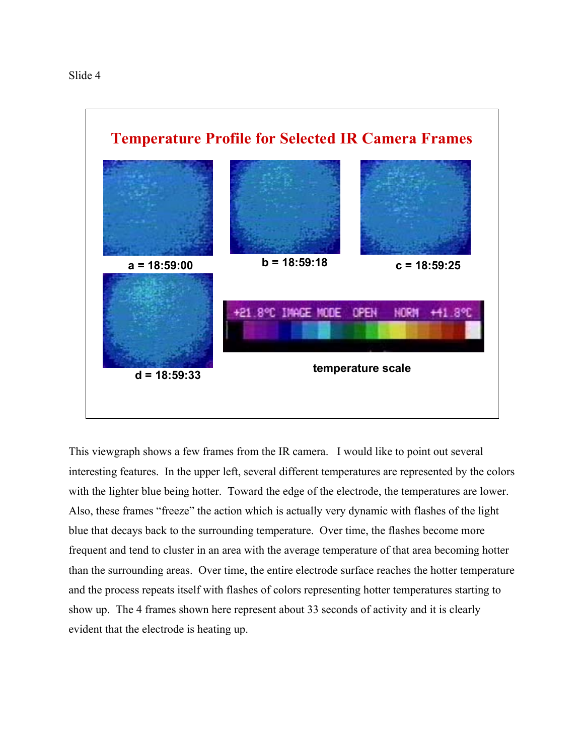

This viewgraph shows a few frames from the IR camera. I would like to point out several interesting features. In the upper left, several different temperatures are represented by the colors with the lighter blue being hotter. Toward the edge of the electrode, the temperatures are lower. Also, these frames "freeze" the action which is actually very dynamic with flashes of the light blue that decays back to the surrounding temperature. Over time, the flashes become more frequent and tend to cluster in an area with the average temperature of that area becoming hotter than the surrounding areas. Over time, the entire electrode surface reaches the hotter temperature and the process repeats itself with flashes of colors representing hotter temperatures starting to show up. The 4 frames shown here represent about 33 seconds of activity and it is clearly evident that the electrode is heating up.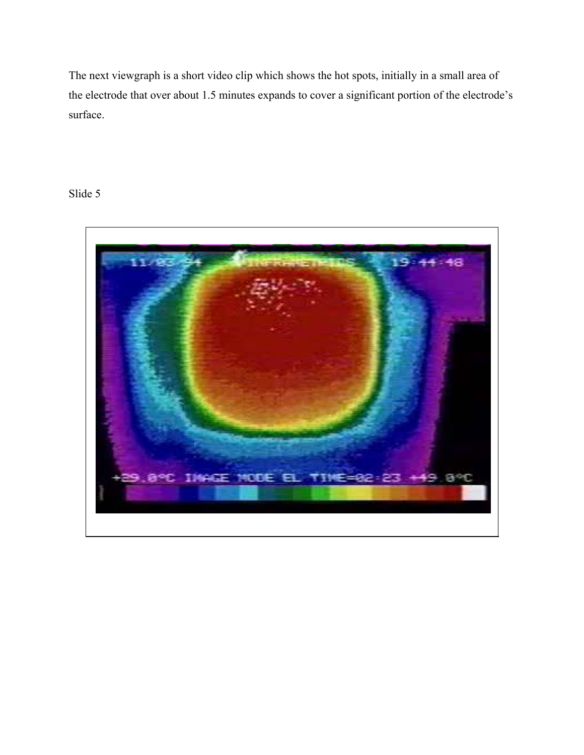The next viewgraph is a short video clip which shows the hot spots, initially in a small area of the electrode that over about 1.5 minutes expands to cover a significant portion of the electrode's surface.

## Slide 5

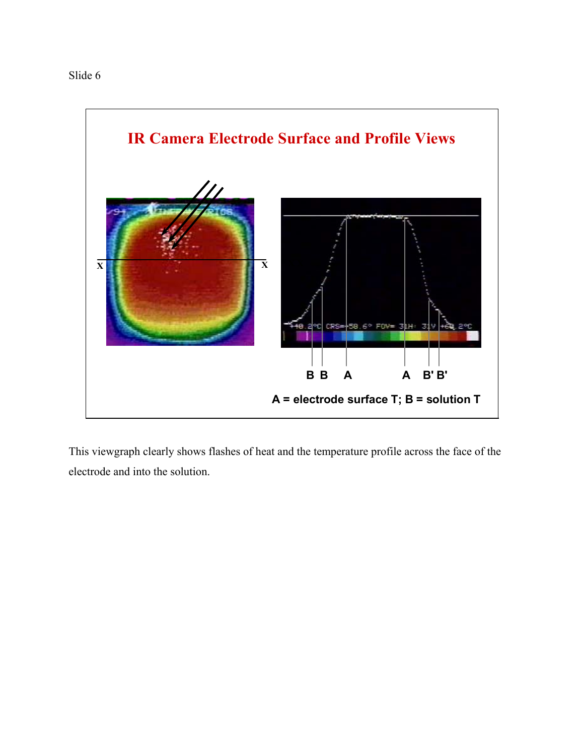

This viewgraph clearly shows flashes of heat and the temperature profile across the face of the electrode and into the solution.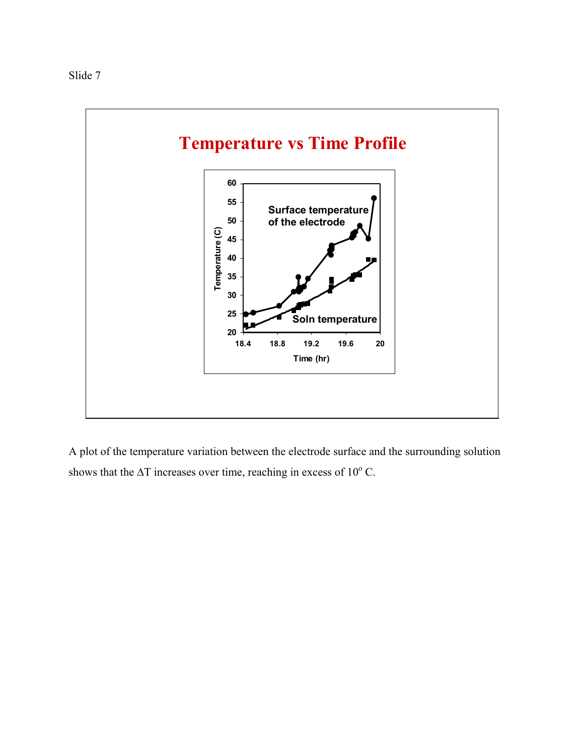



A plot of the temperature variation between the electrode surface and the surrounding solution shows that the  $\Delta T$  increases over time, reaching in excess of 10 $^{\circ}$  C.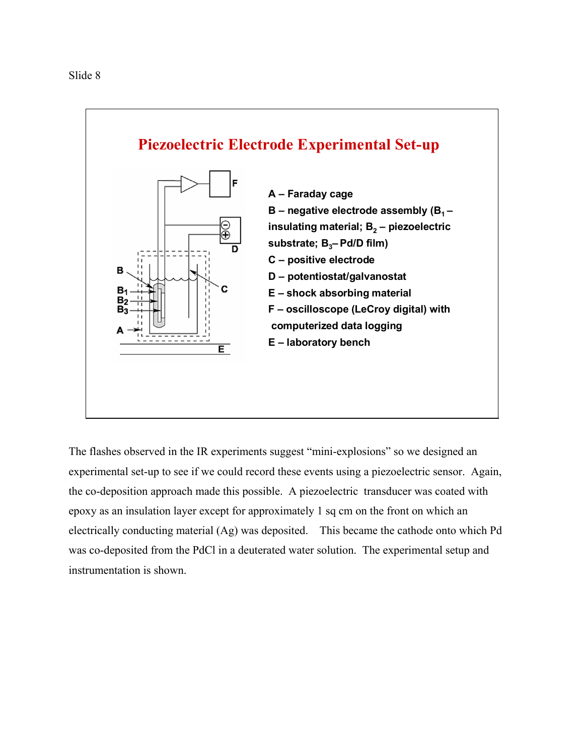

The flashes observed in the IR experiments suggest "mini-explosions" so we designed an experimental set-up to see if we could record these events using a piezoelectric sensor. Again, the co-deposition approach made this possible. A piezoelectric transducer was coated with epoxy as an insulation layer except for approximately 1 sq cm on the front on which an electrically conducting material (Ag) was deposited. This became the cathode onto which Pd was co-deposited from the PdCl in a deuterated water solution. The experimental setup and instrumentation is shown.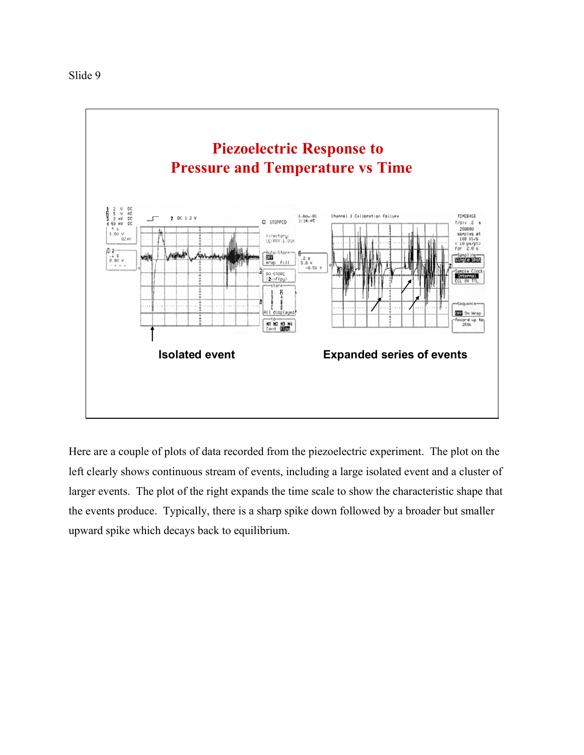

Here are a couple of plots of data recorded from the piezoelectric experiment. The plot on the left clearly shows continuous stream of events, including a large isolated event and a cluster of larger events. The plot of the right expands the time scale to show the characteristic shape that the events produce. Typically, there is a sharp spike down followed by a broader but smaller upward spike which decays back to equilibrium.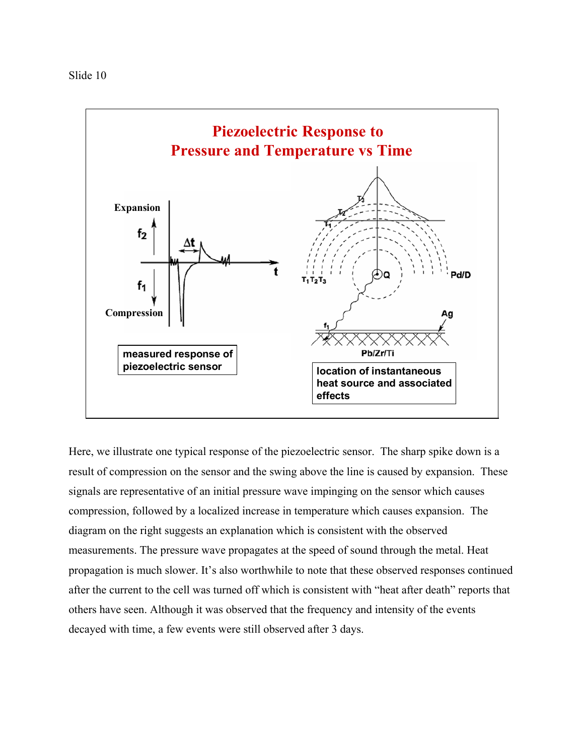

Here, we illustrate one typical response of the piezoelectric sensor. The sharp spike down is a result of compression on the sensor and the swing above the line is caused by expansion. These signals are representative of an initial pressure wave impinging on the sensor which causes compression, followed by a localized increase in temperature which causes expansion. The diagram on the right suggests an explanation which is consistent with the observed measurements. The pressure wave propagates at the speed of sound through the metal. Heat propagation is much slower. It's also worthwhile to note that these observed responses continued after the current to the cell was turned off which is consistent with "heat after death" reports that others have seen. Although it was observed that the frequency and intensity of the events decayed with time, a few events were still observed after 3 days.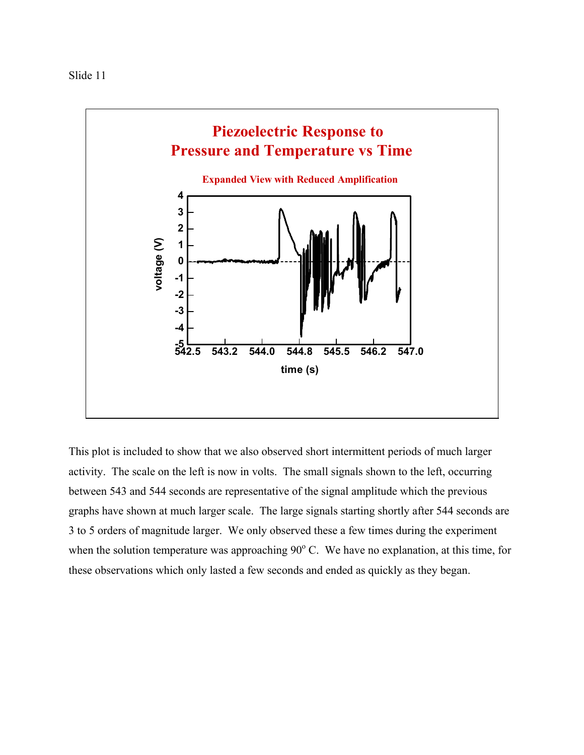

This plot is included to show that we also observed short intermittent periods of much larger activity. The scale on the left is now in volts. The small signals shown to the left, occurring between 543 and 544 seconds are representative of the signal amplitude which the previous graphs have shown at much larger scale. The large signals starting shortly after 544 seconds are 3 to 5 orders of magnitude larger. We only observed these a few times during the experiment when the solution temperature was approaching  $90^{\circ}$  C. We have no explanation, at this time, for these observations which only lasted a few seconds and ended as quickly as they began.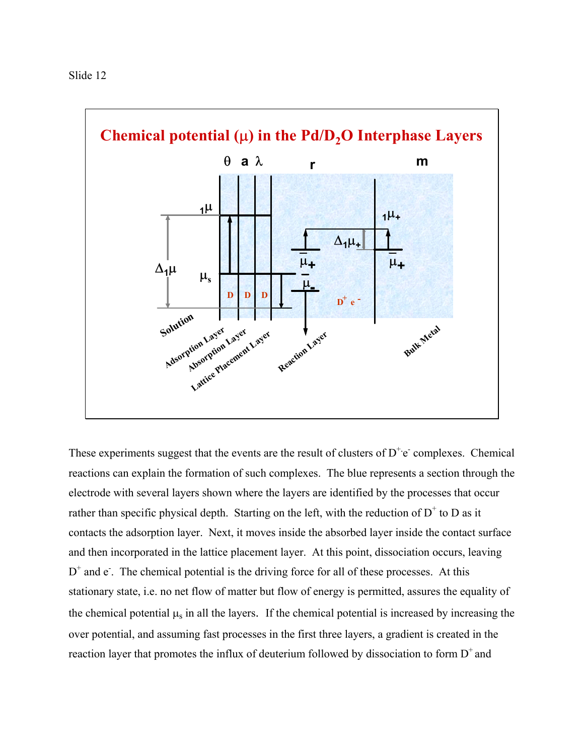

These experiments suggest that the events are the result of clusters of  $D^+e^-$  complexes. Chemical reactions can explain the formation of such complexes. The blue represents a section through the electrode with several layers shown where the layers are identified by the processes that occur rather than specific physical depth. Starting on the left, with the reduction of  $D^+$  to D as it contacts the adsorption layer. Next, it moves inside the absorbed layer inside the contact surface and then incorporated in the lattice placement layer. At this point, dissociation occurs, leaving  $D^+$  and  $e$ . The chemical potential is the driving force for all of these processes. At this stationary state, i.e. no net flow of matter but flow of energy is permitted, assures the equality of the chemical potential  $\mu_s$  in all the layers. If the chemical potential is increased by increasing the over potential, and assuming fast processes in the first three layers, a gradient is created in the reaction layer that promotes the influx of deuterium followed by dissociation to form  $D^+$  and